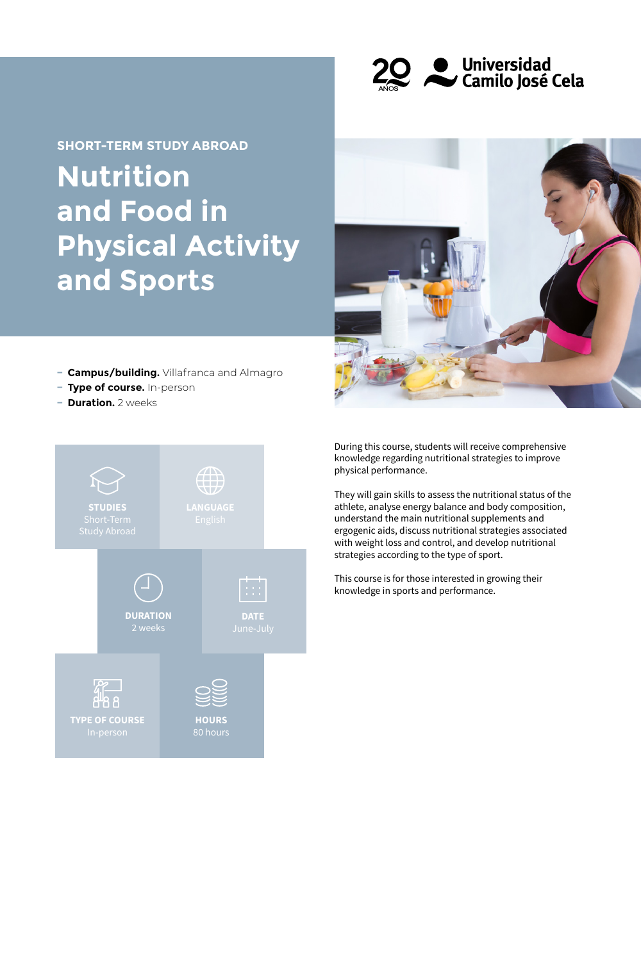

# **Nutrition and Food in Physical Activity and Sports SHORT-TERM STUDY ABROAD**



- **− Campus/building.** Villafranca and Almagro
- **− Type of course.** In-person
- **− Duration.** 2 weeks



During this course, students will receive comprehensive knowledge regarding nutritional strategies to improve physical performance.

They will gain skills to assess the nutritional status of the athlete, analyse energy balance and body composition, understand the main nutritional supplements and ergogenic aids, discuss nutritional strategies associated with weight loss and control, and develop nutritional strategies according to the type of sport.

This course is for those interested in growing their knowledge in sports and performance.